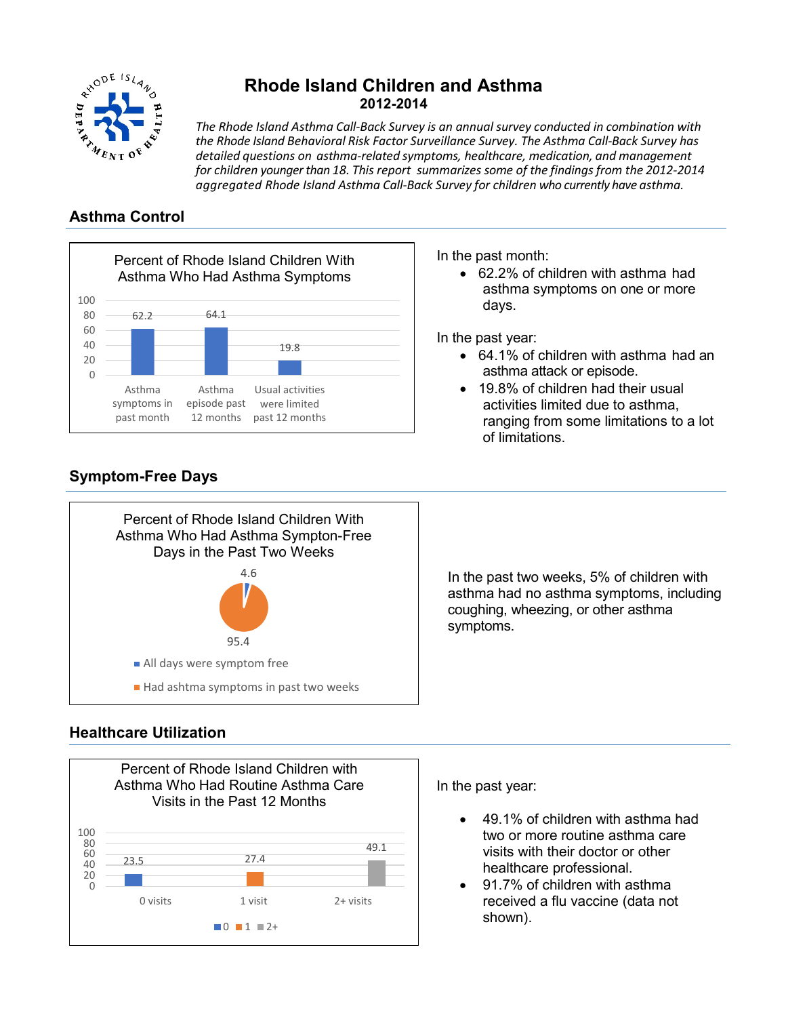

# **Rhode Island Children and Asthma 2012-2014**

*The Rhode Island Asthma Call‐Back Survey is an annual survey conducted in combination with the Rhode Island Behavioral Risk Factor Surveillance Survey. The Asthma Call‐Back Survey has detailed questions on asthma‐related symptoms, healthcare, medication, and management for children younger than 18. This report summarizes some of the findingsfrom the 2012‐2014 aggregated Rhode Island Asthma Call‐Back Survey for children who currently have asthma.*

## **Asthma Control**



In the past month:

• 62.2% of children with asthma had asthma symptoms on one or more days.

In the past year:

- 64.1% of children with asthma had an asthma attack or episode.
- 19.8% of children had their usual activities limited due to asthma, ranging from some limitations to a lot of limitations.



# **Symptom-Free Days**

In the past two weeks, 5% of children with asthma had no asthma symptoms, including coughing, wheezing, or other asthma symptoms.

## **Healthcare Utilization**



95.4

Had ashtma symptoms in past two weeks

All days were symptom free

In the past year:

- 49.1% of children with asthma had two or more routine asthma care visits with their doctor or other healthcare professional.
- 91.7% of children with asthma received a flu vaccine (data not shown).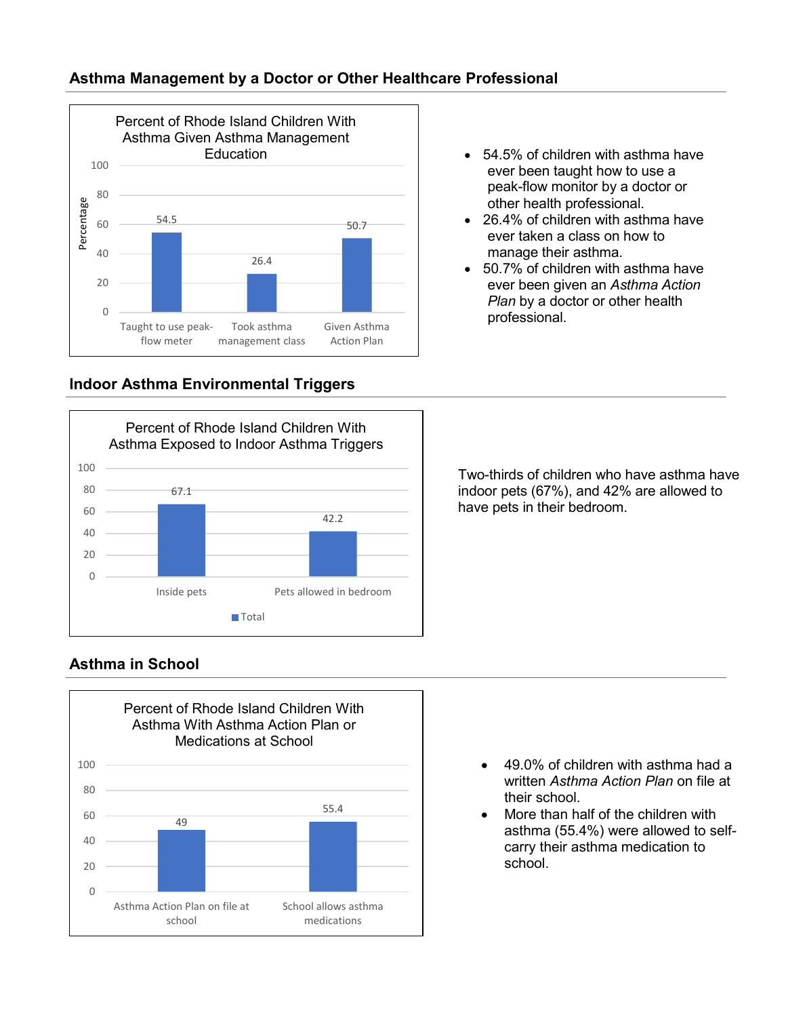

## **Indoor Asthma Environmental Triggers**



### • 54.5% of children with asthma have ever been taught how to use a peak-flow monitor by a doctor or other health professional.

- 26.4% of children with asthma have ever taken a class on how to manage their asthma.
- 50.7% of children with asthma have ever been given an *Asthma Action Plan* by a doctor or other health professional.

Two-thirds of children who have asthma have indoor pets (67%), and 42% are allowed to have pets in their bedroom.

# **Asthma in School**



- 49.0% of children with asthma had a written *Asthma Action Plan* on file at their school.
- More than half of the children with asthma (55.4%) were allowed to selfcarry their asthma medication to school.